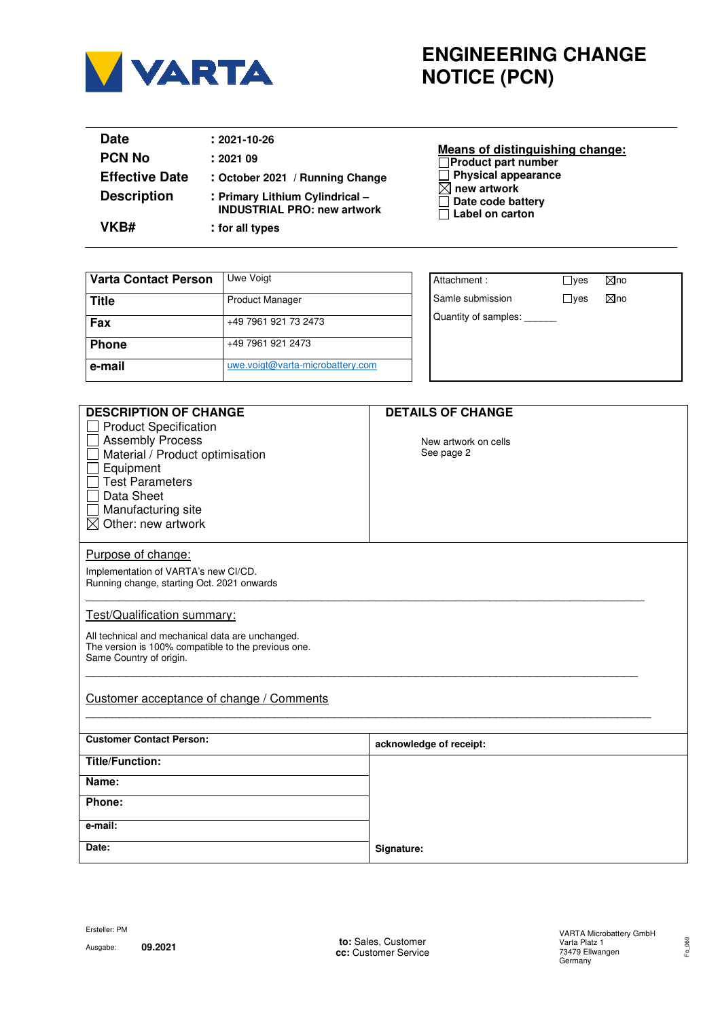

## **ENGINEERING CHANGE NOTICE (PCN)**

| <b>Date</b>           | $: 2021 - 10 - 26$                                                    | <b>Means of distinguishing change:</b>                                        |
|-----------------------|-----------------------------------------------------------------------|-------------------------------------------------------------------------------|
| <b>PCN No</b>         | : 202109                                                              | $\Box$ Product part number                                                    |
| <b>Effective Date</b> | : October 2021 / Running Change                                       | $\Box$ Physical appearance                                                    |
| <b>Description</b>    | : Primary Lithium Cylindrical -<br><b>INDUSTRIAL PRO: new artwork</b> | $\boxtimes$ new artwork<br>$\Box$ Date code battery<br>$\Box$ Label on carton |
| VKB#                  | : for all types                                                       |                                                                               |

| Varta Contact Person | Uwe Voigt                        | Atta |
|----------------------|----------------------------------|------|
| <b>Title</b>         | <b>Product Manager</b>           | Sam  |
| Fax                  | +49 7961 921 73 2473             | Qua  |
| <b>Phone</b>         | +49 7961 921 2473                |      |
| e-mail               | uwe.voigt@varta-microbattery.com |      |

| Attachment:          | $\Box$ yes   | $\boxtimes$ no |  |
|----------------------|--------------|----------------|--|
| Samle submission     | $\sqcup$ ves | ⊠no            |  |
| Quantity of samples: |              |                |  |
|                      |              |                |  |
|                      |              |                |  |

| <b>DESCRIPTION OF CHANGE</b>                        | <b>DETAILS OF CHANGE</b> |  |  |  |
|-----------------------------------------------------|--------------------------|--|--|--|
| <b>Product Specification</b>                        |                          |  |  |  |
| <b>Assembly Process</b>                             | New artwork on cells     |  |  |  |
| Material / Product optimisation                     | See page 2               |  |  |  |
| Equipment                                           |                          |  |  |  |
| <b>Test Parameters</b>                              |                          |  |  |  |
| Data Sheet                                          |                          |  |  |  |
| Manufacturing site                                  |                          |  |  |  |
| $\boxtimes$ Other: new artwork                      |                          |  |  |  |
| Purpose of change:                                  |                          |  |  |  |
| Implementation of VARTA's new CI/CD.                |                          |  |  |  |
| Running change, starting Oct. 2021 onwards          |                          |  |  |  |
|                                                     |                          |  |  |  |
| Test/Qualification summary:                         |                          |  |  |  |
| All technical and mechanical data are unchanged.    |                          |  |  |  |
| The version is 100% compatible to the previous one. |                          |  |  |  |
| Same Country of origin.                             |                          |  |  |  |
|                                                     |                          |  |  |  |
| Customer acceptance of change / Comments            |                          |  |  |  |
|                                                     |                          |  |  |  |
| <b>Customer Contact Person:</b>                     | acknowledge of receipt:  |  |  |  |
| <b>Title/Function:</b>                              |                          |  |  |  |
| Name:                                               |                          |  |  |  |
| Phone:                                              |                          |  |  |  |
| e-mail:                                             |                          |  |  |  |
| Date:                                               | Signature:               |  |  |  |
|                                                     |                          |  |  |  |

Fo\_069